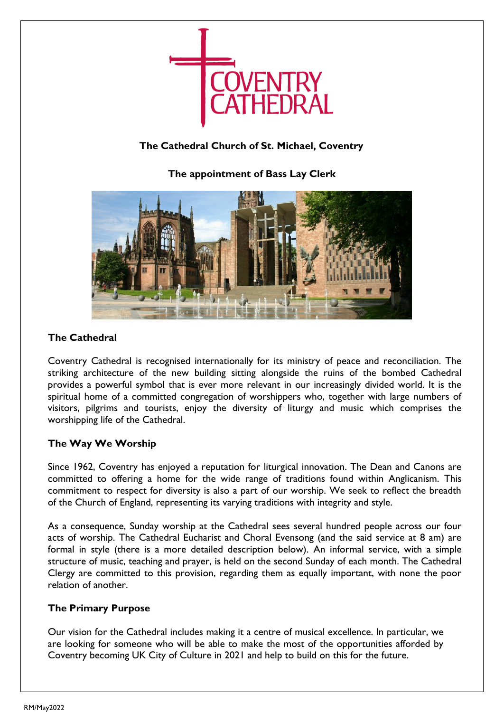

# **The Cathedral Church of St. Michael, Coventry**

**The appointment of Bass Lay Clerk**



## **The Cathedral**

Coventry Cathedral is recognised internationally for its ministry of peace and reconciliation. The striking architecture of the new building sitting alongside the ruins of the bombed Cathedral provides a powerful symbol that is ever more relevant in our increasingly divided world. It is the spiritual home of a committed congregation of worshippers who, together with large numbers of visitors, pilgrims and tourists, enjoy the diversity of liturgy and music which comprises the worshipping life of the Cathedral.

## **The Way We Worship**

Since 1962, Coventry has enjoyed a reputation for liturgical innovation. The Dean and Canons are committed to offering a home for the wide range of traditions found within Anglicanism. This commitment to respect for diversity is also a part of our worship. We seek to reflect the breadth of the Church of England, representing its varying traditions with integrity and style.

As a consequence, Sunday worship at the Cathedral sees several hundred people across our four acts of worship. The Cathedral Eucharist and Choral Evensong (and the said service at 8 am) are formal in style (there is a more detailed description below). An informal service, with a simple structure of music, teaching and prayer, is held on the second Sunday of each month. The Cathedral Clergy are committed to this provision, regarding them as equally important, with none the poor relation of another.

### **The Primary Purpose**

Our vision for the Cathedral includes making it a centre of musical excellence. In particular, we are looking for someone who will be able to make the most of the opportunities afforded by Coventry becoming UK City of Culture in 2021 and help to build on this for the future.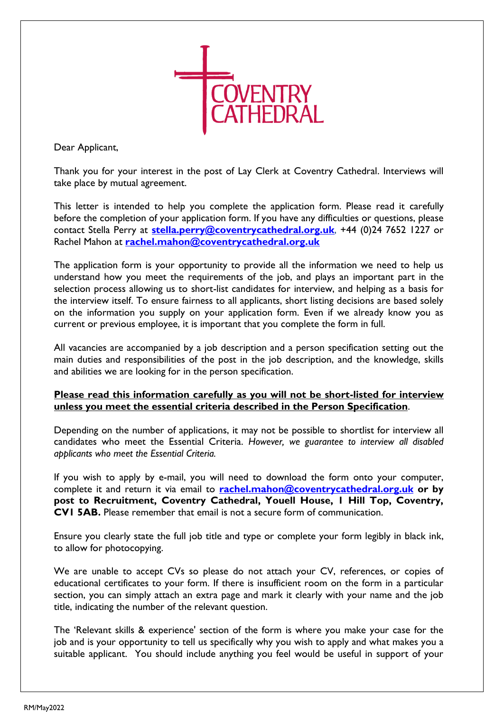

Dear Applicant,

Thank you for your interest in the post of Lay Clerk at Coventry Cathedral. Interviews will take place by mutual agreement.

This letter is intended to help you complete the application form. Please read it carefully before the completion of your application form. If you have any difficulties or questions, please contact Stella Perry at **[stella.perry@coventrycathedral.org.uk](mailto:stella.perry@coventrycathedral.org.uk)**, +44 (0)24 7652 1227 or Rachel Mahon at **[rachel.mahon@coventrycathedral.org.uk](mailto:rachel.mahon@coventrycathedral.org.uk)**

The application form is your opportunity to provide all the information we need to help us understand how you meet the requirements of the job, and plays an important part in the selection process allowing us to short-list candidates for interview, and helping as a basis for the interview itself. To ensure fairness to all applicants, short listing decisions are based solely on the information you supply on your application form. Even if we already know you as current or previous employee, it is important that you complete the form in full.

All vacancies are accompanied by a job description and a person specification setting out the main duties and responsibilities of the post in the job description, and the knowledge, skills and abilities we are looking for in the person specification.

#### **Please read this information carefully as you will not be short-listed for interview unless you meet the essential criteria described in the Person Specification**.

Depending on the number of applications, it may not be possible to shortlist for interview all candidates who meet the Essential Criteria. *However, we guarantee to interview all disabled applicants who meet the Essential Criteria.*

If you wish to apply by e-mail, you will need to download the form onto your computer, complete it and return it via email to **[rachel.mahon@coventrycathedral.org.uk](mailto:rachel.mahon@coventrycathedral.org.uk) or by post to Recruitment, Coventry Cathedral, Youell House, 1 Hill Top, Coventry, CV1 5AB.** Please remember that email is not a secure form of communication.

Ensure you clearly state the full job title and type or complete your form legibly in black ink, to allow for photocopying.

We are unable to accept CVs so please do not attach your CV, references, or copies of educational certificates to your form. If there is insufficient room on the form in a particular section, you can simply attach an extra page and mark it clearly with your name and the job title, indicating the number of the relevant question.

The 'Relevant skills & experience' section of the form is where you make your case for the job and is your opportunity to tell us specifically why you wish to apply and what makes you a suitable applicant. You should include anything you feel would be useful in support of your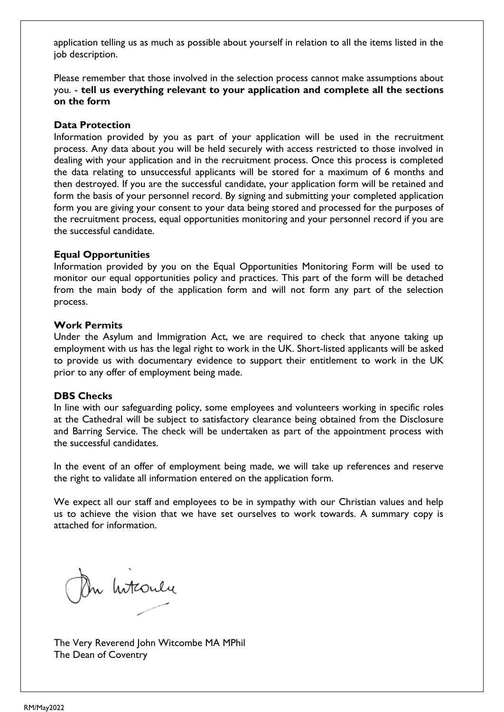application telling us as much as possible about yourself in relation to all the items listed in the job description.

Please remember that those involved in the selection process cannot make assumptions about you. - **tell us everything relevant to your application and complete all the sections on the form**

#### **Data Protection**

Information provided by you as part of your application will be used in the recruitment process. Any data about you will be held securely with access restricted to those involved in dealing with your application and in the recruitment process. Once this process is completed the data relating to unsuccessful applicants will be stored for a maximum of 6 months and then destroyed. If you are the successful candidate, your application form will be retained and form the basis of your personnel record. By signing and submitting your completed application form you are giving your consent to your data being stored and processed for the purposes of the recruitment process, equal opportunities monitoring and your personnel record if you are the successful candidate.

#### **Equal Opportunities**

Information provided by you on the Equal Opportunities Monitoring Form will be used to monitor our equal opportunities policy and practices. This part of the form will be detached from the main body of the application form and will not form any part of the selection process.

#### **Work Permits**

Under the Asylum and Immigration Act, we are required to check that anyone taking up employment with us has the legal right to work in the UK. Short-listed applicants will be asked to provide us with documentary evidence to support their entitlement to work in the UK prior to any offer of employment being made.

### **DBS Checks**

In line with our safeguarding policy, some employees and volunteers working in specific roles at the Cathedral will be subject to satisfactory clearance being obtained from the Disclosure and Barring Service. The check will be undertaken as part of the appointment process with the successful candidates.

In the event of an offer of employment being made, we will take up references and reserve the right to validate all information entered on the application form.

We expect all our staff and employees to be in sympathy with our Christian values and help us to achieve the vision that we have set ourselves to work towards. A summary copy is attached for information.

On hitcoulu

The Very Reverend John Witcombe MA MPhil The Dean of Coventry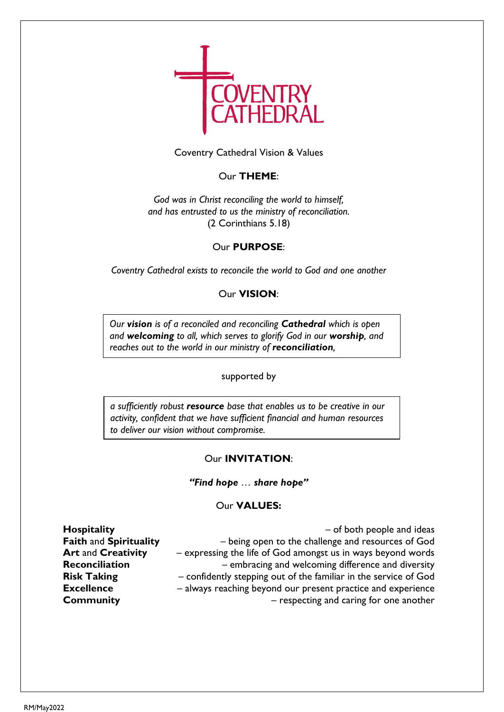

Coventry Cathedral Vision & Values

### Our **THEME**:

*God was in Christ reconciling the world to himself, and has entrusted to us the ministry of reconciliation.* (2 Corinthians 5.18)

#### Our **PURPOSE**:

*Coventry Cathedral exists to reconcile the world to God and one another*

#### Our **VISION**:

*Our vision is of a reconciled and reconciling Cathedral which is open and welcoming to all, which serves to glorify God in our worship, and reaches out to the world in our ministry of reconciliation,*

#### supported by

*a sufficiently robust resource base that enables us to be creative in our activity, confident that we have sufficient financial and human resources to deliver our vision without compromise.*

#### Our **INVITATION**:

#### *"Find hope … share hope"*

#### Our **VALUES:**

**Hospitality Hospitality Hospitality Hospitality Hospitality Hospitality Hospitality Hospitality Hospitality Hospitality Hospitality Hospitality Hospitality Hospitality Hospitality Hospitality Faith** and **Spirituality** – being open to the challenge and resources of God **Art** and **Creativity** – expressing the life of God amongst us in ways beyond words **Reconciliation** – embracing and welcoming difference and diversity **Risk Taking** – confidently stepping out of the familiar in the service of God **Excellence** – always reaching beyond our present practice and experience **Community Community Community – respecting and caring for one another**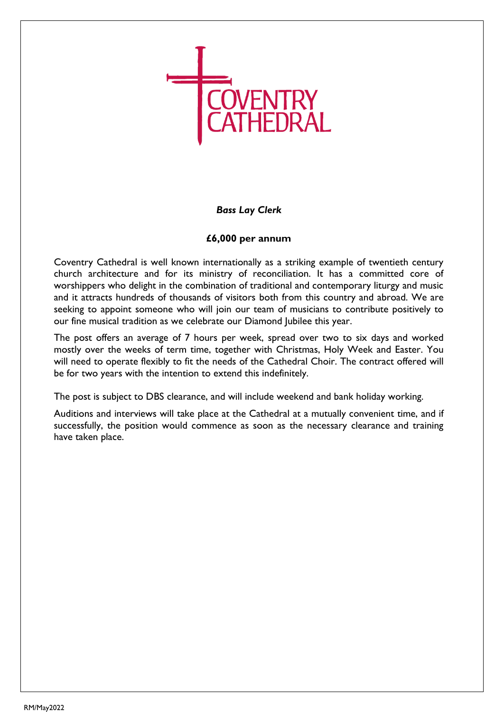

### *Bass Lay Clerk*

### **£6,000 per annum**

Coventry Cathedral is well known internationally as a striking example of twentieth century church architecture and for its ministry of reconciliation. It has a committed core of worshippers who delight in the combination of traditional and contemporary liturgy and music and it attracts hundreds of thousands of visitors both from this country and abroad. We are seeking to appoint someone who will join our team of musicians to contribute positively to our fine musical tradition as we celebrate our Diamond Jubilee this year.

The post offers an average of 7 hours per week, spread over two to six days and worked mostly over the weeks of term time, together with Christmas, Holy Week and Easter. You will need to operate flexibly to fit the needs of the Cathedral Choir. The contract offered will be for two years with the intention to extend this indefinitely.

The post is subject to DBS clearance, and will include weekend and bank holiday working.

Auditions and interviews will take place at the Cathedral at a mutually convenient time, and if successfully, the position would commence as soon as the necessary clearance and training have taken place.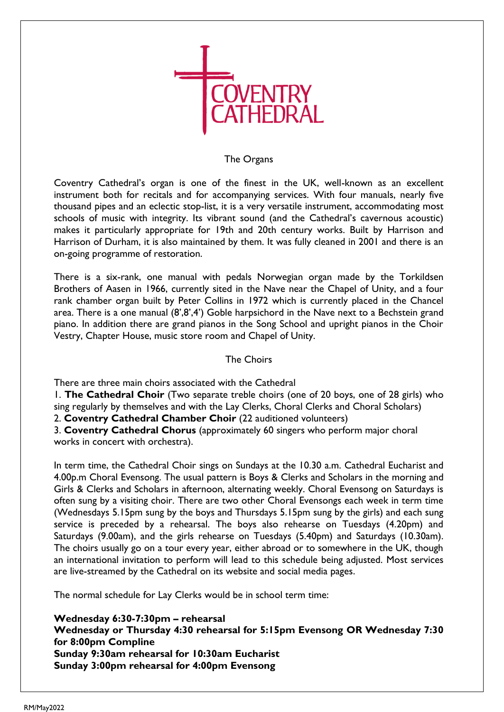

#### The Organs

Coventry Cathedral's organ is one of the finest in the UK, well-known as an excellent instrument both for recitals and for accompanying services. With four manuals, nearly five thousand pipes and an eclectic stop-list, it is a very versatile instrument, accommodating most schools of music with integrity. Its vibrant sound (and the Cathedral's cavernous acoustic) makes it particularly appropriate for 19th and 20th century works. Built by Harrison and Harrison of Durham, it is also maintained by them. It was fully cleaned in 2001 and there is an on-going programme of restoration.

There is a six-rank, one manual with pedals Norwegian organ made by the Torkildsen Brothers of Aasen in 1966, currently sited in the Nave near the Chapel of Unity, and a four rank chamber organ built by Peter Collins in 1972 which is currently placed in the Chancel area. There is a one manual (8',8',4') Goble harpsichord in the Nave next to a Bechstein grand piano. In addition there are grand pianos in the Song School and upright pianos in the Choir Vestry, Chapter House, music store room and Chapel of Unity.

### The Choirs

There are three main choirs associated with the Cathedral

1. **The Cathedral Choir** (Two separate treble choirs (one of 20 boys, one of 28 girls) who sing regularly by themselves and with the Lay Clerks, Choral Clerks and Choral Scholars)

2. **Coventry Cathedral Chamber Choir** (22 auditioned volunteers)

3. **Coventry Cathedral Chorus** (approximately 60 singers who perform major choral works in concert with orchestra).

In term time, the Cathedral Choir sings on Sundays at the 10.30 a.m. Cathedral Eucharist and 4.00p.m Choral Evensong. The usual pattern is Boys & Clerks and Scholars in the morning and Girls & Clerks and Scholars in afternoon, alternating weekly. Choral Evensong on Saturdays is often sung by a visiting choir. There are two other Choral Evensongs each week in term time (Wednesdays 5.15pm sung by the boys and Thursdays 5.15pm sung by the girls) and each sung service is preceded by a rehearsal. The boys also rehearse on Tuesdays (4.20pm) and Saturdays (9.00am), and the girls rehearse on Tuesdays (5.40pm) and Saturdays (10.30am). The choirs usually go on a tour every year, either abroad or to somewhere in the UK, though an international invitation to perform will lead to this schedule being adjusted. Most services are live-streamed by the Cathedral on its website and social media pages.

The normal schedule for Lay Clerks would be in school term time:

**Wednesday 6:30-7:30pm – rehearsal Wednesday or Thursday 4:30 rehearsal for 5:15pm Evensong OR Wednesday 7:30 for 8:00pm Compline Sunday 9:30am rehearsal for 10:30am Eucharist Sunday 3:00pm rehearsal for 4:00pm Evensong**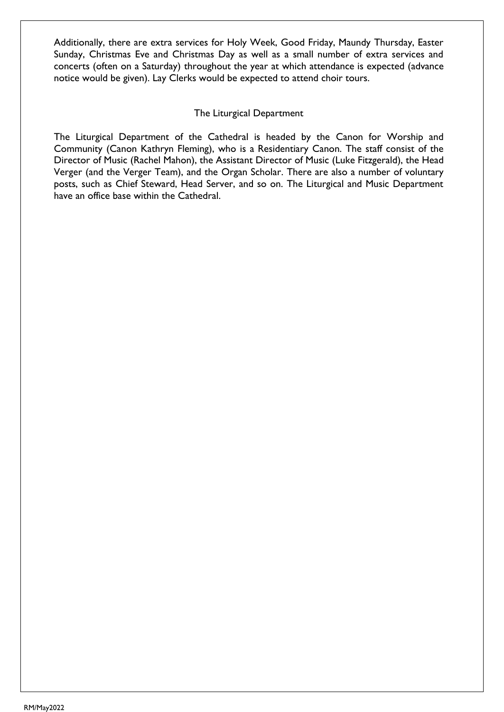Additionally, there are extra services for Holy Week, Good Friday, Maundy Thursday, Easter Sunday, Christmas Eve and Christmas Day as well as a small number of extra services and concerts (often on a Saturday) throughout the year at which attendance is expected (advance notice would be given). Lay Clerks would be expected to attend choir tours.

### The Liturgical Department

The Liturgical Department of the Cathedral is headed by the Canon for Worship and Community (Canon Kathryn Fleming), who is a Residentiary Canon. The staff consist of the Director of Music (Rachel Mahon), the Assistant Director of Music (Luke Fitzgerald), the Head Verger (and the Verger Team), and the Organ Scholar. There are also a number of voluntary posts, such as Chief Steward, Head Server, and so on. The Liturgical and Music Department have an office base within the Cathedral.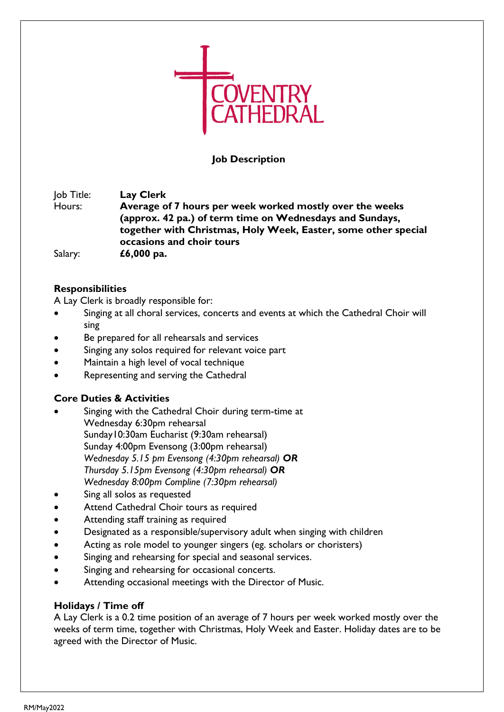

### **Job Description**

Job Title: **Lay Clerk** Hours: **Average of 7 hours per week worked mostly over the weeks (approx. 42 pa.) of term time on Wednesdays and Sundays, together with Christmas, Holy Week, Easter, some other special occasions and choir tours** Salary: **£6,000 pa.**

### **Responsibilities**

A Lay Clerk is broadly responsible for:

- Singing at all choral services, concerts and events at which the Cathedral Choir will sing
- Be prepared for all rehearsals and services
- Singing any solos required for relevant voice part
- Maintain a high level of vocal technique
- Representing and serving the Cathedral

### **Core Duties & Activities**

- Singing with the Cathedral Choir during term-time at Wednesday 6:30pm rehearsal Sunday10:30am Eucharist (9:30am rehearsal) Sunday 4:00pm Evensong (3:00pm rehearsal) *Wednesday 5.15 pm Evensong (4:30pm rehearsal) OR Thursday 5.15pm Evensong (4:30pm rehearsal) OR Wednesday 8:00pm Compline (7:30pm rehearsal)*
- Sing all solos as requested
- Attend Cathedral Choir tours as required
- Attending staff training as required
- Designated as a responsible/supervisory adult when singing with children
- Acting as role model to younger singers (eg. scholars or choristers)
- Singing and rehearsing for special and seasonal services.
- Singing and rehearsing for occasional concerts.
- Attending occasional meetings with the Director of Music.

#### **Holidays / Time off**

A Lay Clerk is a 0.2 time position of an average of 7 hours per week worked mostly over the weeks of term time, together with Christmas, Holy Week and Easter. Holiday dates are to be agreed with the Director of Music.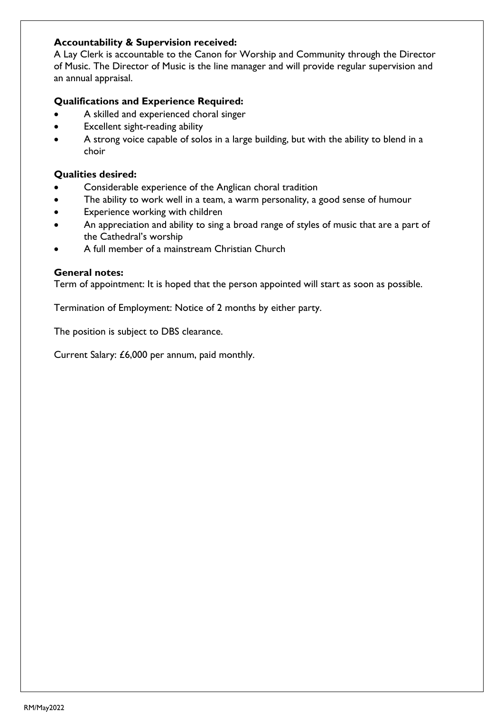### **Accountability & Supervision received:**

A Lay Clerk is accountable to the Canon for Worship and Community through the Director of Music. The Director of Music is the line manager and will provide regular supervision and an annual appraisal.

### **Qualifications and Experience Required:**

- A skilled and experienced choral singer
- Excellent sight-reading ability
- A strong voice capable of solos in a large building, but with the ability to blend in a choir

### **Qualities desired:**

- Considerable experience of the Anglican choral tradition
- The ability to work well in a team, a warm personality, a good sense of humour
- Experience working with children
- An appreciation and ability to sing a broad range of styles of music that are a part of the Cathedral's worship
- A full member of a mainstream Christian Church

#### **General notes:**

Term of appointment: It is hoped that the person appointed will start as soon as possible.

Termination of Employment: Notice of 2 months by either party.

The position is subject to DBS clearance.

Current Salary: £6,000 per annum, paid monthly.